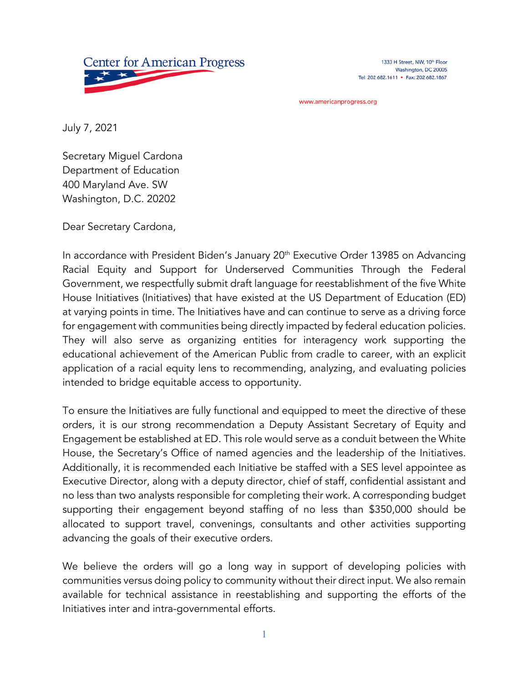

1333 H Street, NW, 10th Floor Washington, DC 20005 Tel: 202 682.1611 • Fax: 202 682.1867

www.americanprogress.org

July 7, 2021

Secretary Miguel Cardona Department of Education 400 Maryland Ave. SW Washington, D.C. 20202

Dear Secretary Cardona,

In accordance with President Biden's January 20<sup>th</sup> Executive Order 13985 on Advancing Racial Equity and Support for Underserved Communities Through the Federal Government, we respectfully submit draft language for reestablishment of the five White House Initiatives (Initiatives) that have existed at the US Department of Education (ED) at varying points in time. The Initiatives have and can continue to serve as a driving force for engagement with communities being directly impacted by federal education policies. They will also serve as organizing entities for interagency work supporting the educational achievement of the American Public from cradle to career, with an explicit application of a racial equity lens to recommending, analyzing, and evaluating policies intended to bridge equitable access to opportunity.

To ensure the Initiatives are fully functional and equipped to meet the directive of these orders, it is our strong recommendation a Deputy Assistant Secretary of Equity and Engagement be established at ED. This role would serve as a conduit between the White House, the Secretary's Office of named agencies and the leadership of the Initiatives. Additionally, it is recommended each Initiative be staffed with a SES level appointee as Executive Director, along with a deputy director, chief of staff, confidential assistant and no less than two analysts responsible for completing their work. A corresponding budget supporting their engagement beyond staffing of no less than \$350,000 should be allocated to support travel, convenings, consultants and other activities supporting advancing the goals of their executive orders.

We believe the orders will go a long way in support of developing policies with communities versus doing policy to community without their direct input. We also remain available for technical assistance in reestablishing and supporting the efforts of the Initiatives inter and intra-governmental efforts.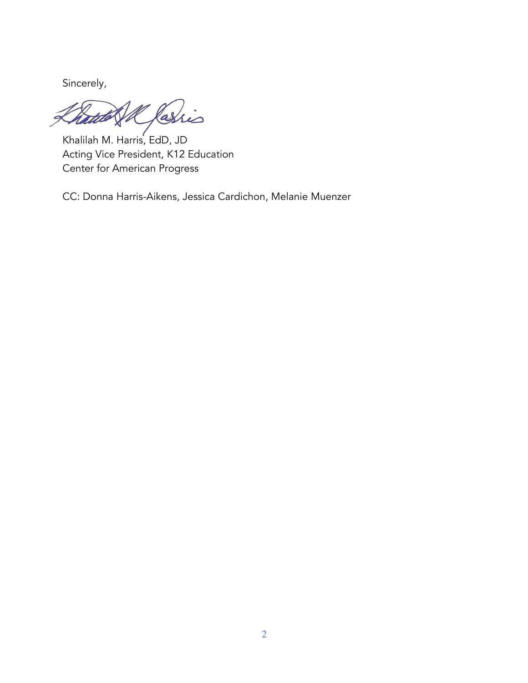Sincerely,

fassis  $\tilde{\mathcal{X}}$ 

Khalilah M. Harris, EdD, JD Acting Vice President, K12 Education Center for American Progress

CC: Donna Harris-Aikens, Jessica Cardichon, Melanie Muenzer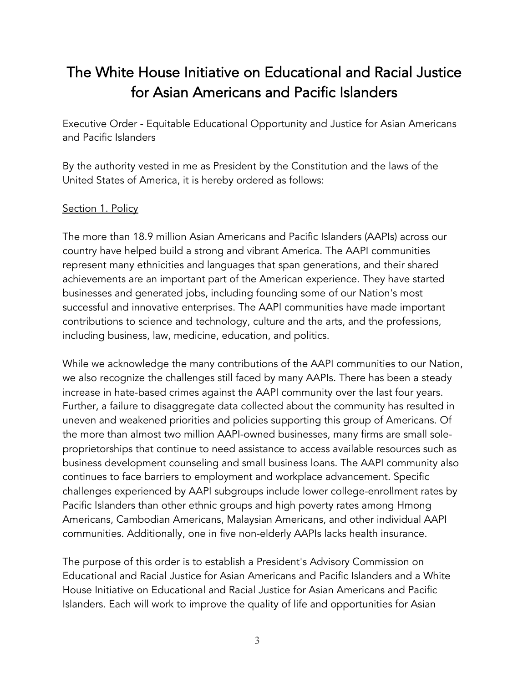# The White House Initiative on Educational and Racial Justice for Asian Americans and Pacific Islanders

Executive Order - Equitable Educational Opportunity and Justice for Asian Americans and Pacific Islanders

By the authority vested in me as President by the Constitution and the laws of the United States of America, it is hereby ordered as follows:

## Section 1. Policy

The more than 18.9 million Asian Americans and Pacific Islanders (AAPIs) across our country have helped build a strong and vibrant America. The AAPI communities represent many ethnicities and languages that span generations, and their shared achievements are an important part of the American experience. They have started businesses and generated jobs, including founding some of our Nation's most successful and innovative enterprises. The AAPI communities have made important contributions to science and technology, culture and the arts, and the professions, including business, law, medicine, education, and politics.

While we acknowledge the many contributions of the AAPI communities to our Nation, we also recognize the challenges still faced by many AAPIs. There has been a steady increase in hate-based crimes against the AAPI community over the last four years. Further, a failure to disaggregate data collected about the community has resulted in uneven and weakened priorities and policies supporting this group of Americans. Of the more than almost two million AAPI-owned businesses, many firms are small soleproprietorships that continue to need assistance to access available resources such as business development counseling and small business loans. The AAPI community also continues to face barriers to employment and workplace advancement. Specific challenges experienced by AAPI subgroups include lower college-enrollment rates by Pacific Islanders than other ethnic groups and high poverty rates among Hmong Americans, Cambodian Americans, Malaysian Americans, and other individual AAPI communities. Additionally, one in five non-elderly AAPIs lacks health insurance.

The purpose of this order is to establish a President's Advisory Commission on Educational and Racial Justice for Asian Americans and Pacific Islanders and a White House Initiative on Educational and Racial Justice for Asian Americans and Pacific Islanders. Each will work to improve the quality of life and opportunities for Asian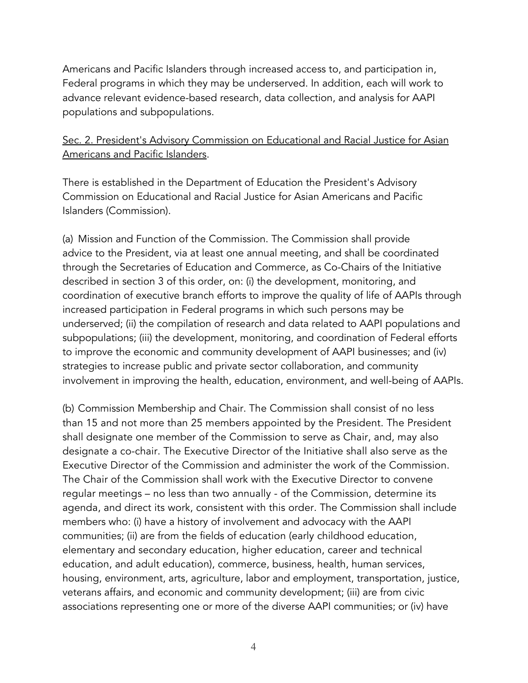Americans and Pacific Islanders through increased access to, and participation in, Federal programs in which they may be underserved. In addition, each will work to advance relevant evidence-based research, data collection, and analysis for AAPI populations and subpopulations.

# Sec. 2. President's Advisory Commission on Educational and Racial Justice for Asian Americans and Pacific Islanders.

There is established in the Department of Education the President's Advisory Commission on Educational and Racial Justice for Asian Americans and Pacific Islanders (Commission).

(a) Mission and Function of the Commission. The Commission shall provide advice to the President, via at least one annual meeting, and shall be coordinated through the Secretaries of Education and Commerce, as Co-Chairs of the Initiative described in section 3 of this order, on: (i) the development, monitoring, and coordination of executive branch efforts to improve the quality of life of AAPIs through increased participation in Federal programs in which such persons may be underserved; (ii) the compilation of research and data related to AAPI populations and subpopulations; (iii) the development, monitoring, and coordination of Federal efforts to improve the economic and community development of AAPI businesses; and (iv) strategies to increase public and private sector collaboration, and community involvement in improving the health, education, environment, and well-being of AAPIs.

(b) Commission Membership and Chair. The Commission shall consist of no less than 15 and not more than 25 members appointed by the President. The President shall designate one member of the Commission to serve as Chair, and, may also designate a co-chair. The Executive Director of the Initiative shall also serve as the Executive Director of the Commission and administer the work of the Commission. The Chair of the Commission shall work with the Executive Director to convene regular meetings – no less than two annually - of the Commission, determine its agenda, and direct its work, consistent with this order. The Commission shall include members who: (i) have a history of involvement and advocacy with the AAPI communities; (ii) are from the fields of education (early childhood education, elementary and secondary education, higher education, career and technical education, and adult education), commerce, business, health, human services, housing, environment, arts, agriculture, labor and employment, transportation, justice, veterans affairs, and economic and community development; (iii) are from civic associations representing one or more of the diverse AAPI communities; or (iv) have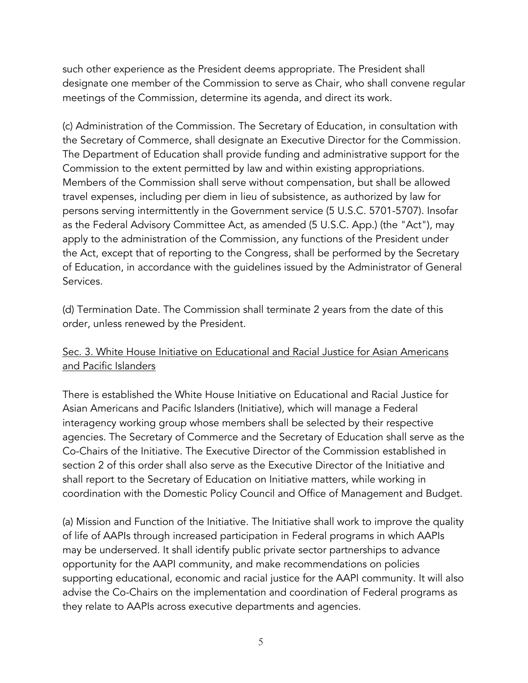such other experience as the President deems appropriate. The President shall designate one member of the Commission to serve as Chair, who shall convene regular meetings of the Commission, determine its agenda, and direct its work.

(c) Administration of the Commission. The Secretary of Education, in consultation with the Secretary of Commerce, shall designate an Executive Director for the Commission. The Department of Education shall provide funding and administrative support for the Commission to the extent permitted by law and within existing appropriations. Members of the Commission shall serve without compensation, but shall be allowed travel expenses, including per diem in lieu of subsistence, as authorized by law for persons serving intermittently in the Government service (5 U.S.C. 5701-5707). Insofar as the Federal Advisory Committee Act, as amended (5 U.S.C. App.) (the "Act"), may apply to the administration of the Commission, any functions of the President under the Act, except that of reporting to the Congress, shall be performed by the Secretary of Education, in accordance with the guidelines issued by the Administrator of General Services.

(d) Termination Date. The Commission shall terminate 2 years from the date of this order, unless renewed by the President.

# Sec. 3. White House Initiative on Educational and Racial Justice for Asian Americans and Pacific Islanders

There is established the White House Initiative on Educational and Racial Justice for Asian Americans and Pacific Islanders (Initiative), which will manage a Federal interagency working group whose members shall be selected by their respective agencies. The Secretary of Commerce and the Secretary of Education shall serve as the Co-Chairs of the Initiative. The Executive Director of the Commission established in section 2 of this order shall also serve as the Executive Director of the Initiative and shall report to the Secretary of Education on Initiative matters, while working in coordination with the Domestic Policy Council and Office of Management and Budget.

(a) Mission and Function of the Initiative. The Initiative shall work to improve the quality of life of AAPIs through increased participation in Federal programs in which AAPIs may be underserved. It shall identify public private sector partnerships to advance opportunity for the AAPI community, and make recommendations on policies supporting educational, economic and racial justice for the AAPI community. It will also advise the Co-Chairs on the implementation and coordination of Federal programs as they relate to AAPIs across executive departments and agencies.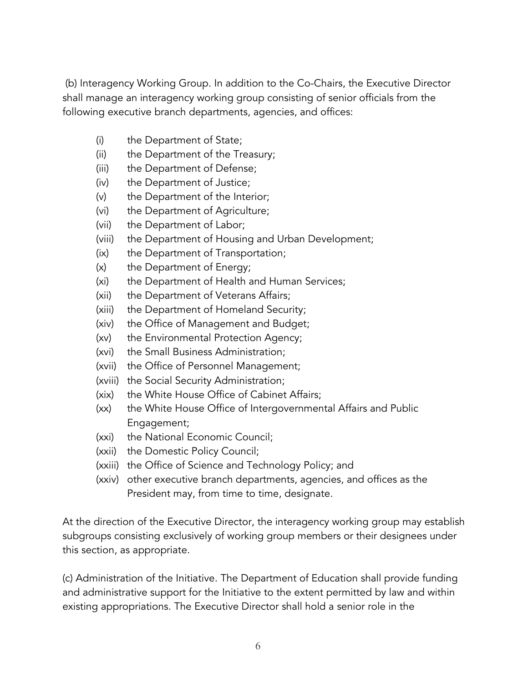(b) Interagency Working Group. In addition to the Co-Chairs, the Executive Director shall manage an interagency working group consisting of senior officials from the following executive branch departments, agencies, and offices:

- (i) the Department of State;
- (ii) the Department of the Treasury;
- (iii) the Department of Defense;
- (iv) the Department of Justice;
- (v) the Department of the Interior;
- (vi) the Department of Agriculture;
- (vii) the Department of Labor;
- (viii) the Department of Housing and Urban Development;
- (ix) the Department of Transportation;
- (x) the Department of Energy;
- (xi) the Department of Health and Human Services;
- (xii) the Department of Veterans Affairs;
- (xiii) the Department of Homeland Security;
- (xiv) the Office of Management and Budget;
- (xv) the Environmental Protection Agency;
- (xvi) the Small Business Administration;
- (xvii) the Office of Personnel Management;
- (xviii) the Social Security Administration;
- (xix) the White House Office of Cabinet Affairs;
- (xx) the White House Office of Intergovernmental Affairs and Public Engagement;
- (xxi) the National Economic Council;
- (xxii) the Domestic Policy Council;
- (xxiii) the Office of Science and Technology Policy; and
- (xxiv) other executive branch departments, agencies, and offices as the President may, from time to time, designate.

At the direction of the Executive Director, the interagency working group may establish subgroups consisting exclusively of working group members or their designees under this section, as appropriate.

(c) Administration of the Initiative. The Department of Education shall provide funding and administrative support for the Initiative to the extent permitted by law and within existing appropriations. The Executive Director shall hold a senior role in the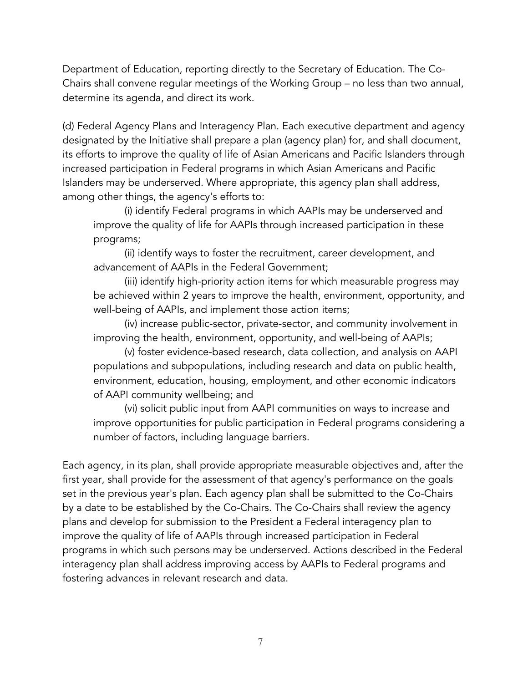Department of Education, reporting directly to the Secretary of Education. The Co-Chairs shall convene regular meetings of the Working Group – no less than two annual, determine its agenda, and direct its work.

(d) Federal Agency Plans and Interagency Plan. Each executive department and agency designated by the Initiative shall prepare a plan (agency plan) for, and shall document, its efforts to improve the quality of life of Asian Americans and Pacific Islanders through increased participation in Federal programs in which Asian Americans and Pacific Islanders may be underserved. Where appropriate, this agency plan shall address, among other things, the agency's efforts to:

(i) identify Federal programs in which AAPIs may be underserved and improve the quality of life for AAPIs through increased participation in these programs;

(ii) identify ways to foster the recruitment, career development, and advancement of AAPIs in the Federal Government;

(iii) identify high-priority action items for which measurable progress may be achieved within 2 years to improve the health, environment, opportunity, and well-being of AAPIs, and implement those action items;

(iv) increase public-sector, private-sector, and community involvement in improving the health, environment, opportunity, and well-being of AAPIs;

(v) foster evidence-based research, data collection, and analysis on AAPI populations and subpopulations, including research and data on public health, environment, education, housing, employment, and other economic indicators of AAPI community wellbeing; and

(vi) solicit public input from AAPI communities on ways to increase and improve opportunities for public participation in Federal programs considering a number of factors, including language barriers.

Each agency, in its plan, shall provide appropriate measurable objectives and, after the first year, shall provide for the assessment of that agency's performance on the goals set in the previous year's plan. Each agency plan shall be submitted to the Co-Chairs by a date to be established by the Co-Chairs. The Co-Chairs shall review the agency plans and develop for submission to the President a Federal interagency plan to improve the quality of life of AAPIs through increased participation in Federal programs in which such persons may be underserved. Actions described in the Federal interagency plan shall address improving access by AAPIs to Federal programs and fostering advances in relevant research and data.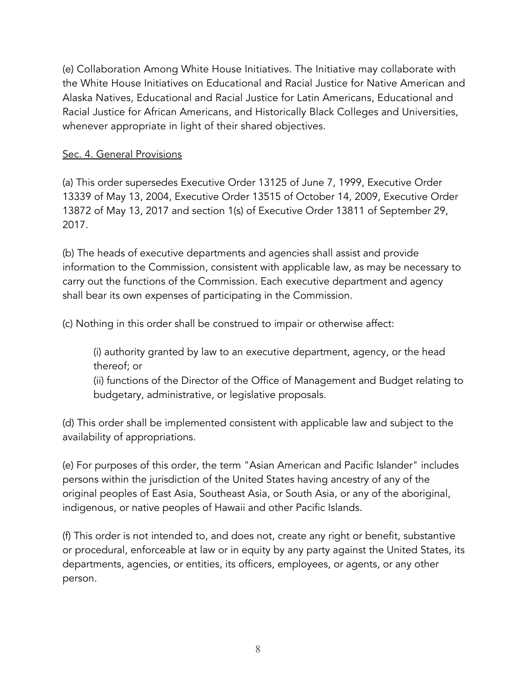(e) Collaboration Among White House Initiatives. The Initiative may collaborate with the White House Initiatives on Educational and Racial Justice for Native American and Alaska Natives, Educational and Racial Justice for Latin Americans, Educational and Racial Justice for African Americans, and Historically Black Colleges and Universities, whenever appropriate in light of their shared objectives.

## Sec. 4. General Provisions

(a) This order supersedes Executive Order 13125 of June 7, 1999, Executive Order 13339 of May 13, 2004, Executive Order 13515 of October 14, 2009, Executive Order 13872 of May 13, 2017 and section 1(s) of Executive Order 13811 of September 29, 2017.

(b) The heads of executive departments and agencies shall assist and provide information to the Commission, consistent with applicable law, as may be necessary to carry out the functions of the Commission. Each executive department and agency shall bear its own expenses of participating in the Commission.

(c) Nothing in this order shall be construed to impair or otherwise affect:

(i) authority granted by law to an executive department, agency, or the head thereof; or

(ii) functions of the Director of the Office of Management and Budget relating to budgetary, administrative, or legislative proposals.

(d) This order shall be implemented consistent with applicable law and subject to the availability of appropriations.

(e) For purposes of this order, the term "Asian American and Pacific Islander" includes persons within the jurisdiction of the United States having ancestry of any of the original peoples of East Asia, Southeast Asia, or South Asia, or any of the aboriginal, indigenous, or native peoples of Hawaii and other Pacific Islands.

(f) This order is not intended to, and does not, create any right or benefit, substantive or procedural, enforceable at law or in equity by any party against the United States, its departments, agencies, or entities, its officers, employees, or agents, or any other person.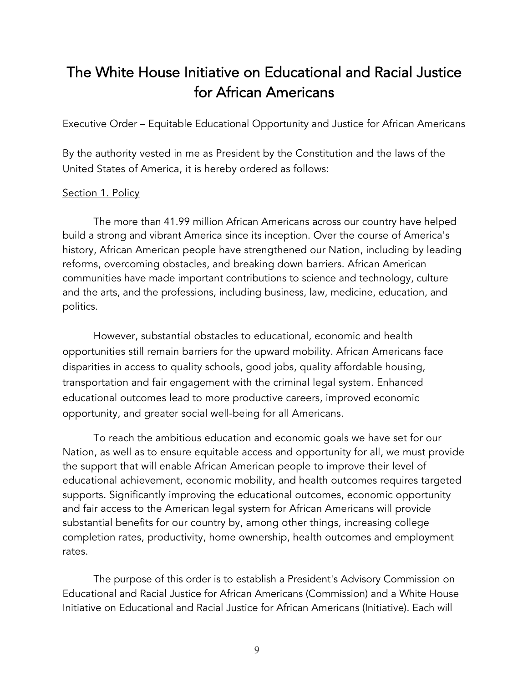# The White House Initiative on Educational and Racial Justice for African Americans

Executive Order – Equitable Educational Opportunity and Justice for African Americans

By the authority vested in me as President by the Constitution and the laws of the United States of America, it is hereby ordered as follows:

### Section 1. Policy

The more than 41.99 million African Americans across our country have helped build a strong and vibrant America since its inception. Over the course of America's history, African American people have strengthened our Nation, including by leading reforms, overcoming obstacles, and breaking down barriers. African American communities have made important contributions to science and technology, culture and the arts, and the professions, including business, law, medicine, education, and politics.

However, substantial obstacles to educational, economic and health opportunities still remain barriers for the upward mobility. African Americans face disparities in access to quality schools, good jobs, quality affordable housing, transportation and fair engagement with the criminal legal system. Enhanced educational outcomes lead to more productive careers, improved economic opportunity, and greater social well-being for all Americans.

To reach the ambitious education and economic goals we have set for our Nation, as well as to ensure equitable access and opportunity for all, we must provide the support that will enable African American people to improve their level of educational achievement, economic mobility, and health outcomes requires targeted supports. Significantly improving the educational outcomes, economic opportunity and fair access to the American legal system for African Americans will provide substantial benefits for our country by, among other things, increasing college completion rates, productivity, home ownership, health outcomes and employment rates.

The purpose of this order is to establish a President's Advisory Commission on Educational and Racial Justice for African Americans (Commission) and a White House Initiative on Educational and Racial Justice for African Americans (Initiative). Each will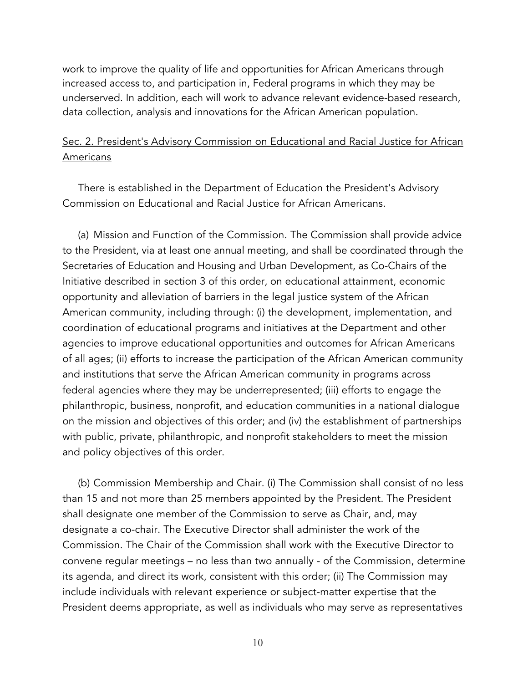work to improve the quality of life and opportunities for African Americans through increased access to, and participation in, Federal programs in which they may be underserved. In addition, each will work to advance relevant evidence-based research, data collection, analysis and innovations for the African American population.

# Sec. 2. President's Advisory Commission on Educational and Racial Justice for African Americans

There is established in the Department of Education the President's Advisory Commission on Educational and Racial Justice for African Americans.

(a) Mission and Function of the Commission. The Commission shall provide advice to the President, via at least one annual meeting, and shall be coordinated through the Secretaries of Education and Housing and Urban Development, as Co-Chairs of the Initiative described in section 3 of this order, on educational attainment, economic opportunity and alleviation of barriers in the legal justice system of the African American community, including through: (i) the development, implementation, and coordination of educational programs and initiatives at the Department and other agencies to improve educational opportunities and outcomes for African Americans of all ages; (ii) efforts to increase the participation of the African American community and institutions that serve the African American community in programs across federal agencies where they may be underrepresented; (iii) efforts to engage the philanthropic, business, nonprofit, and education communities in a national dialogue on the mission and objectives of this order; and (iv) the establishment of partnerships with public, private, philanthropic, and nonprofit stakeholders to meet the mission and policy objectives of this order.

(b) Commission Membership and Chair. (i) The Commission shall consist of no less than 15 and not more than 25 members appointed by the President. The President shall designate one member of the Commission to serve as Chair, and, may designate a co-chair. The Executive Director shall administer the work of the Commission. The Chair of the Commission shall work with the Executive Director to convene regular meetings – no less than two annually - of the Commission, determine its agenda, and direct its work, consistent with this order; (ii) The Commission may include individuals with relevant experience or subject-matter expertise that the President deems appropriate, as well as individuals who may serve as representatives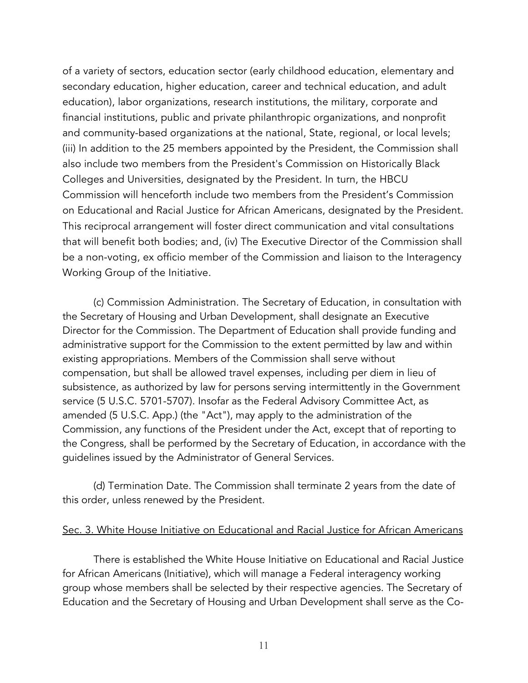of a variety of sectors, education sector (early childhood education, elementary and secondary education, higher education, career and technical education, and adult education), labor organizations, research institutions, the military, corporate and financial institutions, public and private philanthropic organizations, and nonprofit and community-based organizations at the national, State, regional, or local levels; (iii) In addition to the 25 members appointed by the President, the Commission shall also include two members from the President's Commission on Historically Black Colleges and Universities, designated by the President. In turn, the HBCU Commission will henceforth include two members from the President's Commission on Educational and Racial Justice for African Americans, designated by the President. This reciprocal arrangement will foster direct communication and vital consultations that will benefit both bodies; and, (iv) The Executive Director of the Commission shall be a non-voting, ex officio member of the Commission and liaison to the Interagency Working Group of the Initiative.

(c) Commission Administration. The Secretary of Education, in consultation with the Secretary of Housing and Urban Development, shall designate an Executive Director for the Commission. The Department of Education shall provide funding and administrative support for the Commission to the extent permitted by law and within existing appropriations. Members of the Commission shall serve without compensation, but shall be allowed travel expenses, including per diem in lieu of subsistence, as authorized by law for persons serving intermittently in the Government service (5 U.S.C. 5701-5707). Insofar as the Federal Advisory Committee Act, as amended (5 U.S.C. App.) (the "Act"), may apply to the administration of the Commission, any functions of the President under the Act, except that of reporting to the Congress, shall be performed by the Secretary of Education, in accordance with the guidelines issued by the Administrator of General Services.

(d) Termination Date. The Commission shall terminate 2 years from the date of this order, unless renewed by the President.

### Sec. 3. White House Initiative on Educational and Racial Justice for African Americans

There is established the White House Initiative on Educational and Racial Justice for African Americans (Initiative), which will manage a Federal interagency working group whose members shall be selected by their respective agencies. The Secretary of Education and the Secretary of Housing and Urban Development shall serve as the Co-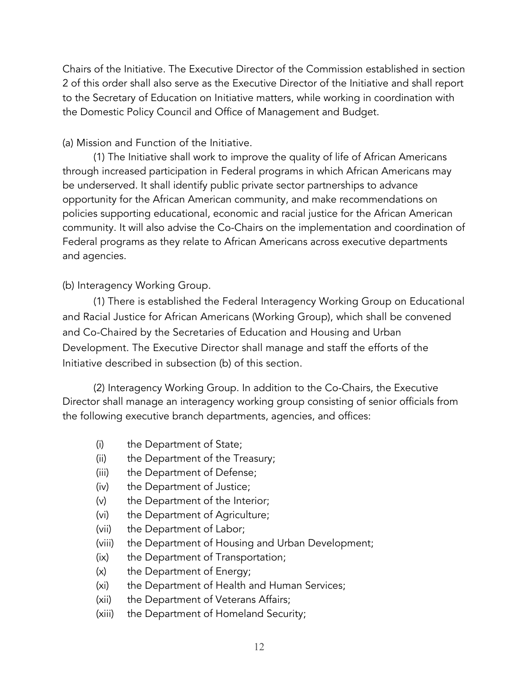Chairs of the Initiative. The Executive Director of the Commission established in section 2 of this order shall also serve as the Executive Director of the Initiative and shall report to the Secretary of Education on Initiative matters, while working in coordination with the Domestic Policy Council and Office of Management and Budget.

## (a) Mission and Function of the Initiative.

(1) The Initiative shall work to improve the quality of life of African Americans through increased participation in Federal programs in which African Americans may be underserved. It shall identify public private sector partnerships to advance opportunity for the African American community, and make recommendations on policies supporting educational, economic and racial justice for the African American community. It will also advise the Co-Chairs on the implementation and coordination of Federal programs as they relate to African Americans across executive departments and agencies.

## (b) Interagency Working Group.

(1) There is established the Federal Interagency Working Group on Educational and Racial Justice for African Americans (Working Group), which shall be convened and Co-Chaired by the Secretaries of Education and Housing and Urban Development. The Executive Director shall manage and staff the efforts of the Initiative described in subsection (b) of this section.

(2) Interagency Working Group. In addition to the Co-Chairs, the Executive Director shall manage an interagency working group consisting of senior officials from the following executive branch departments, agencies, and offices:

- (i) the Department of State;
- (ii) the Department of the Treasury;
- (iii) the Department of Defense;
- (iv) the Department of Justice;
- (v) the Department of the Interior;
- (vi) the Department of Agriculture;
- (vii) the Department of Labor;
- (viii) the Department of Housing and Urban Development;
- (ix) the Department of Transportation;
- (x) the Department of Energy;
- (xi) the Department of Health and Human Services;
- (xii) the Department of Veterans Affairs;
- (xiii) the Department of Homeland Security;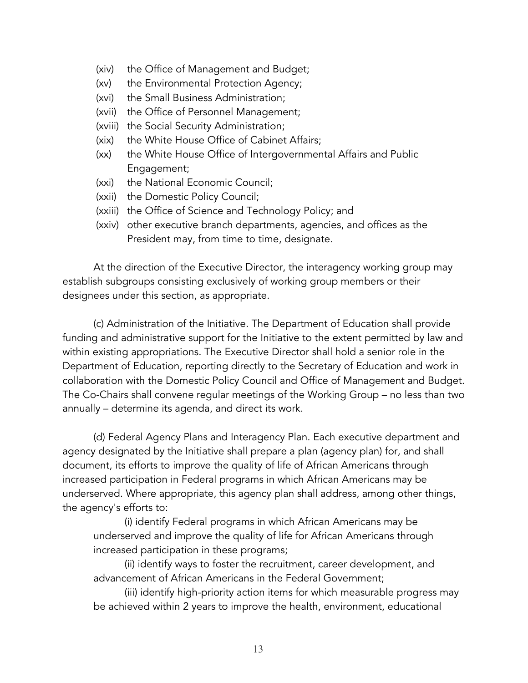- (xiv) the Office of Management and Budget;
- (xv) the Environmental Protection Agency;
- (xvi) the Small Business Administration;
- (xvii) the Office of Personnel Management;
- (xviii) the Social Security Administration;
- (xix) the White House Office of Cabinet Affairs;
- (xx) the White House Office of Intergovernmental Affairs and Public Engagement;
- (xxi) the National Economic Council;
- (xxii) the Domestic Policy Council;
- (xxiii) the Office of Science and Technology Policy; and
- (xxiv) other executive branch departments, agencies, and offices as the President may, from time to time, designate.

At the direction of the Executive Director, the interagency working group may establish subgroups consisting exclusively of working group members or their designees under this section, as appropriate.

(c) Administration of the Initiative. The Department of Education shall provide funding and administrative support for the Initiative to the extent permitted by law and within existing appropriations. The Executive Director shall hold a senior role in the Department of Education, reporting directly to the Secretary of Education and work in collaboration with the Domestic Policy Council and Office of Management and Budget. The Co-Chairs shall convene regular meetings of the Working Group – no less than two annually – determine its agenda, and direct its work.

(d) Federal Agency Plans and Interagency Plan. Each executive department and agency designated by the Initiative shall prepare a plan (agency plan) for, and shall document, its efforts to improve the quality of life of African Americans through increased participation in Federal programs in which African Americans may be underserved. Where appropriate, this agency plan shall address, among other things, the agency's efforts to:

(i) identify Federal programs in which African Americans may be underserved and improve the quality of life for African Americans through increased participation in these programs;

(ii) identify ways to foster the recruitment, career development, and advancement of African Americans in the Federal Government;

(iii) identify high-priority action items for which measurable progress may be achieved within 2 years to improve the health, environment, educational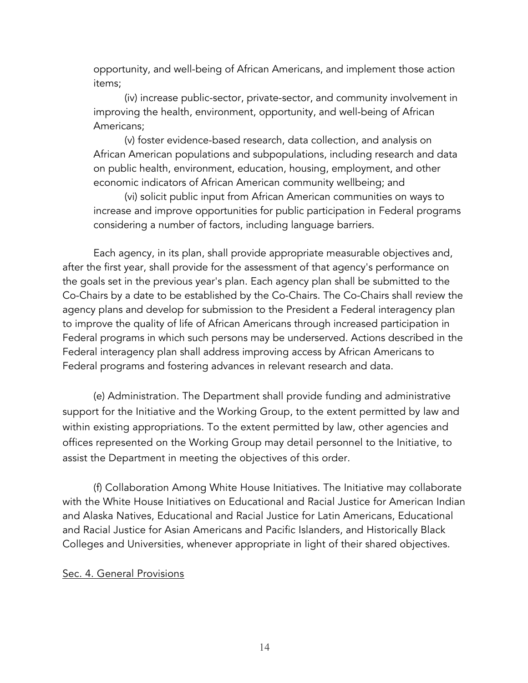opportunity, and well-being of African Americans, and implement those action items;

(iv) increase public-sector, private-sector, and community involvement in improving the health, environment, opportunity, and well-being of African Americans;

(v) foster evidence-based research, data collection, and analysis on African American populations and subpopulations, including research and data on public health, environment, education, housing, employment, and other economic indicators of African American community wellbeing; and

(vi) solicit public input from African American communities on ways to increase and improve opportunities for public participation in Federal programs considering a number of factors, including language barriers.

Each agency, in its plan, shall provide appropriate measurable objectives and, after the first year, shall provide for the assessment of that agency's performance on the goals set in the previous year's plan. Each agency plan shall be submitted to the Co-Chairs by a date to be established by the Co-Chairs. The Co-Chairs shall review the agency plans and develop for submission to the President a Federal interagency plan to improve the quality of life of African Americans through increased participation in Federal programs in which such persons may be underserved. Actions described in the Federal interagency plan shall address improving access by African Americans to Federal programs and fostering advances in relevant research and data.

(e) Administration. The Department shall provide funding and administrative support for the Initiative and the Working Group, to the extent permitted by law and within existing appropriations. To the extent permitted by law, other agencies and offices represented on the Working Group may detail personnel to the Initiative, to assist the Department in meeting the objectives of this order.

(f) Collaboration Among White House Initiatives. The Initiative may collaborate with the White House Initiatives on Educational and Racial Justice for American Indian and Alaska Natives, Educational and Racial Justice for Latin Americans, Educational and Racial Justice for Asian Americans and Pacific Islanders, and Historically Black Colleges and Universities, whenever appropriate in light of their shared objectives.

### Sec. 4. General Provisions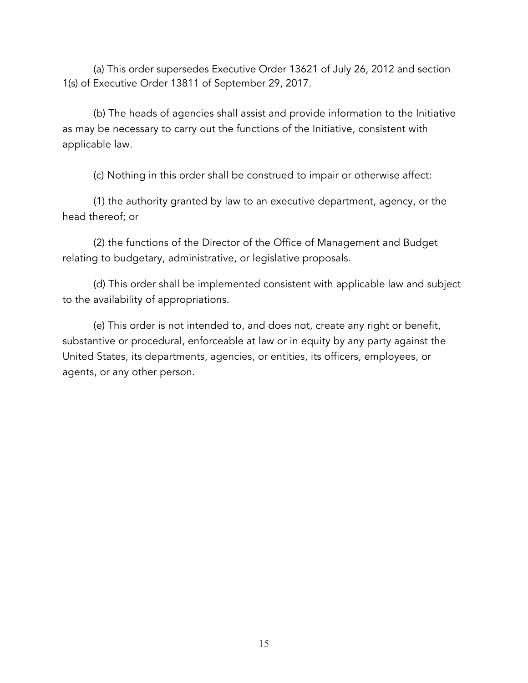(a) This order supersedes Executive Order 13621 of July 26, 2012 and section 1(s) of Executive Order 13811 of September 29, 2017.

(b) The heads of agencies shall assist and provide information to the Initiative as may be necessary to carry out the functions of the Initiative, consistent with applicable law.

(c) Nothing in this order shall be construed to impair or otherwise affect:

(1) the authority granted by law to an executive department, agency, or the head thereof; or

(2) the functions of the Director of the Office of Management and Budget relating to budgetary, administrative, or legislative proposals.

(d) This order shall be implemented consistent with applicable law and subject to the availability of appropriations.

(e) This order is not intended to, and does not, create any right or benefit, substantive or procedural, enforceable at law or in equity by any party against the United States, its departments, agencies, or entities, its officers, employees, or agents, or any other person.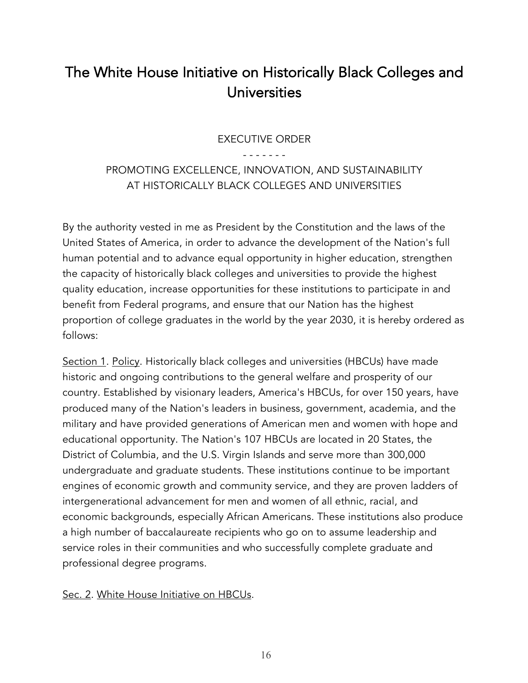# The White House Initiative on Historically Black Colleges and Universities

### EXECUTIVE ORDER - - - - - - -

# PROMOTING EXCELLENCE, INNOVATION, AND SUSTAINABILITY AT HISTORICALLY BLACK COLLEGES AND UNIVERSITIES

By the authority vested in me as President by the Constitution and the laws of the United States of America, in order to advance the development of the Nation's full human potential and to advance equal opportunity in higher education, strengthen the capacity of historically black colleges and universities to provide the highest quality education, increase opportunities for these institutions to participate in and benefit from Federal programs, and ensure that our Nation has the highest proportion of college graduates in the world by the year 2030, it is hereby ordered as follows:

Section 1. Policy. Historically black colleges and universities (HBCUs) have made historic and ongoing contributions to the general welfare and prosperity of our country. Established by visionary leaders, America's HBCUs, for over 150 years, have produced many of the Nation's leaders in business, government, academia, and the military and have provided generations of American men and women with hope and educational opportunity. The Nation's 107 HBCUs are located in 20 States, the District of Columbia, and the U.S. Virgin Islands and serve more than 300,000 undergraduate and graduate students. These institutions continue to be important engines of economic growth and community service, and they are proven ladders of intergenerational advancement for men and women of all ethnic, racial, and economic backgrounds, especially African Americans. These institutions also produce a high number of baccalaureate recipients who go on to assume leadership and service roles in their communities and who successfully complete graduate and professional degree programs.

Sec. 2. White House Initiative on HBCUs.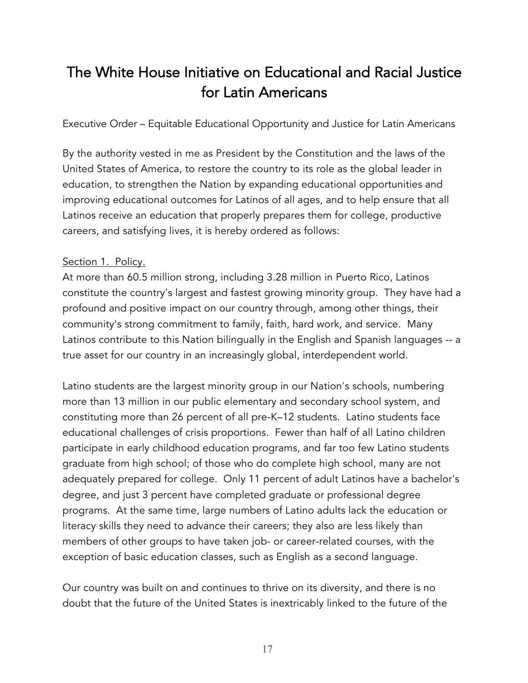# The White House Initiative on Educational and Racial Justice for Latin Americans

Executive Order – Equitable Educational Opportunity and Justice for Latin Americans

By the authority vested in me as President by the Constitution and the laws of the United States of America, to restore the country to its role as the global leader in education, to strengthen the Nation by expanding educational opportunities and improving educational outcomes for Latinos of all ages, and to help ensure that all Latinos receive an education that properly prepares them for college, productive careers, and satisfying lives, it is hereby ordered as follows:

### Section 1. Policy.

At more than 60.5 million strong, including 3.28 million in Puerto Rico, Latinos constitute the country's largest and fastest growing minority group. They have had a profound and positive impact on our country through, among other things, their community's strong commitment to family, faith, hard work, and service. Many Latinos contribute to this Nation bilingually in the English and Spanish languages -- a true asset for our country in an increasingly global, interdependent world.

Latino students are the largest minority group in our Nation's schools, numbering more than 13 million in our public elementary and secondary school system, and constituting more than 26 percent of all pre-K–12 students. Latino students face educational challenges of crisis proportions. Fewer than half of all Latino children participate in early childhood education programs, and far too few Latino students graduate from high school; of those who do complete high school, many are not adequately prepared for college. Only 11 percent of adult Latinos have a bachelor's degree, and just 3 percent have completed graduate or professional degree programs. At the same time, large numbers of Latino adults lack the education or literacy skills they need to advance their careers; they also are less likely than members of other groups to have taken job- or career-related courses, with the exception of basic education classes, such as English as a second language.

Our country was built on and continues to thrive on its diversity, and there is no doubt that the future of the United States is inextricably linked to the future of the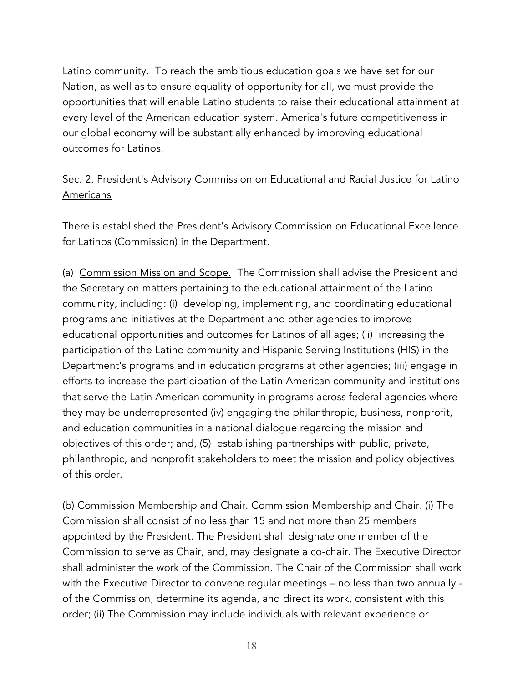Latino community. To reach the ambitious education goals we have set for our Nation, as well as to ensure equality of opportunity for all, we must provide the opportunities that will enable Latino students to raise their educational attainment at every level of the American education system. America's future competitiveness in our global economy will be substantially enhanced by improving educational outcomes for Latinos.

# Sec. 2. President's Advisory Commission on Educational and Racial Justice for Latino Americans

There is established the President's Advisory Commission on Educational Excellence for Latinos (Commission) in the Department.

(a) Commission Mission and Scope. The Commission shall advise the President and the Secretary on matters pertaining to the educational attainment of the Latino community, including: (i) developing, implementing, and coordinating educational programs and initiatives at the Department and other agencies to improve educational opportunities and outcomes for Latinos of all ages; (ii) increasing the participation of the Latino community and Hispanic Serving Institutions (HIS) in the Department's programs and in education programs at other agencies; (iii) engage in efforts to increase the participation of the Latin American community and institutions that serve the Latin American community in programs across federal agencies where they may be underrepresented (iv) engaging the philanthropic, business, nonprofit, and education communities in a national dialogue regarding the mission and objectives of this order; and, (5) establishing partnerships with public, private, philanthropic, and nonprofit stakeholders to meet the mission and policy objectives of this order.

(b) Commission Membership and Chair. Commission Membership and Chair. (i) The Commission shall consist of no less than 15 and not more than 25 members appointed by the President. The President shall designate one member of the Commission to serve as Chair, and, may designate a co-chair. The Executive Director shall administer the work of the Commission. The Chair of the Commission shall work with the Executive Director to convene regular meetings – no less than two annually of the Commission, determine its agenda, and direct its work, consistent with this order; (ii) The Commission may include individuals with relevant experience or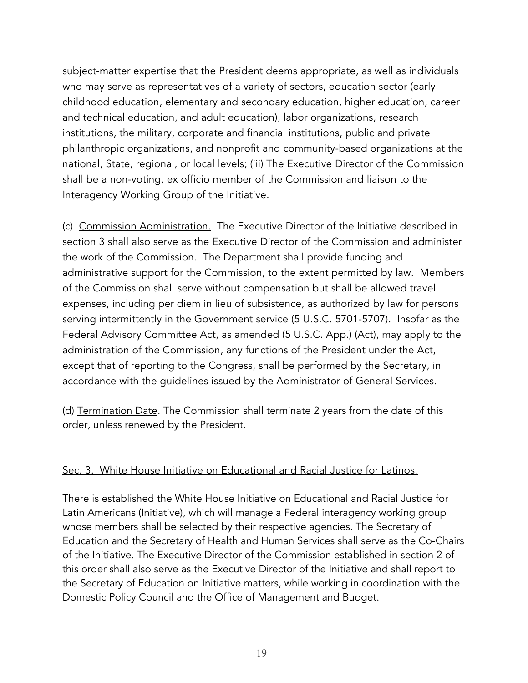subject-matter expertise that the President deems appropriate, as well as individuals who may serve as representatives of a variety of sectors, education sector (early childhood education, elementary and secondary education, higher education, career and technical education, and adult education), labor organizations, research institutions, the military, corporate and financial institutions, public and private philanthropic organizations, and nonprofit and community-based organizations at the national, State, regional, or local levels; (iii) The Executive Director of the Commission shall be a non-voting, ex officio member of the Commission and liaison to the Interagency Working Group of the Initiative.

(c) Commission Administration. The Executive Director of the Initiative described in section 3 shall also serve as the Executive Director of the Commission and administer the work of the Commission. The Department shall provide funding and administrative support for the Commission, to the extent permitted by law. Members of the Commission shall serve without compensation but shall be allowed travel expenses, including per diem in lieu of subsistence, as authorized by law for persons serving intermittently in the Government service (5 U.S.C. 5701-5707). Insofar as the Federal Advisory Committee Act, as amended (5 U.S.C. App.) (Act), may apply to the administration of the Commission, any functions of the President under the Act, except that of reporting to the Congress, shall be performed by the Secretary, in accordance with the guidelines issued by the Administrator of General Services.

(d) Termination Date. The Commission shall terminate 2 years from the date of this order, unless renewed by the President.

## Sec. 3. White House Initiative on Educational and Racial Justice for Latinos.

There is established the White House Initiative on Educational and Racial Justice for Latin Americans (Initiative), which will manage a Federal interagency working group whose members shall be selected by their respective agencies. The Secretary of Education and the Secretary of Health and Human Services shall serve as the Co-Chairs of the Initiative. The Executive Director of the Commission established in section 2 of this order shall also serve as the Executive Director of the Initiative and shall report to the Secretary of Education on Initiative matters, while working in coordination with the Domestic Policy Council and the Office of Management and Budget.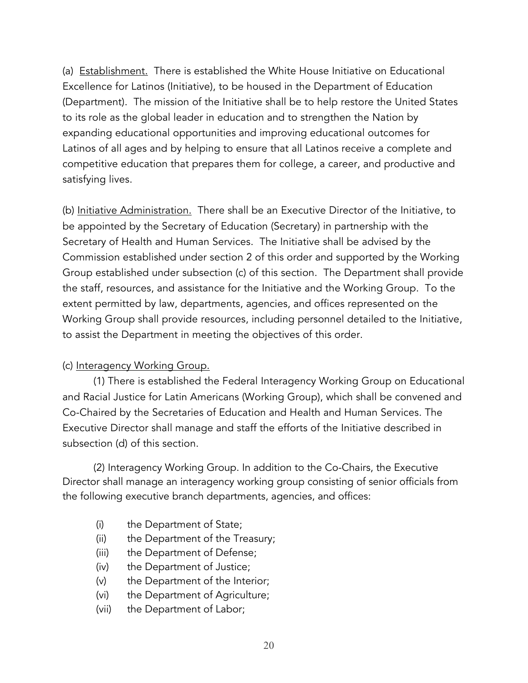(a) **Establishment.** There is established the White House Initiative on Educational Excellence for Latinos (Initiative), to be housed in the Department of Education (Department). The mission of the Initiative shall be to help restore the United States to its role as the global leader in education and to strengthen the Nation by expanding educational opportunities and improving educational outcomes for Latinos of all ages and by helping to ensure that all Latinos receive a complete and competitive education that prepares them for college, a career, and productive and satisfying lives.

(b) Initiative Administration. There shall be an Executive Director of the Initiative, to be appointed by the Secretary of Education (Secretary) in partnership with the Secretary of Health and Human Services. The Initiative shall be advised by the Commission established under section 2 of this order and supported by the Working Group established under subsection (c) of this section. The Department shall provide the staff, resources, and assistance for the Initiative and the Working Group. To the extent permitted by law, departments, agencies, and offices represented on the Working Group shall provide resources, including personnel detailed to the Initiative, to assist the Department in meeting the objectives of this order.

### (c) Interagency Working Group.

(1) There is established the Federal Interagency Working Group on Educational and Racial Justice for Latin Americans (Working Group), which shall be convened and Co-Chaired by the Secretaries of Education and Health and Human Services. The Executive Director shall manage and staff the efforts of the Initiative described in subsection (d) of this section.

(2) Interagency Working Group. In addition to the Co-Chairs, the Executive Director shall manage an interagency working group consisting of senior officials from the following executive branch departments, agencies, and offices:

- (i) the Department of State;
- (ii) the Department of the Treasury;
- (iii) the Department of Defense;
- (iv) the Department of Justice;
- (v) the Department of the Interior;
- (vi) the Department of Agriculture;
- (vii) the Department of Labor;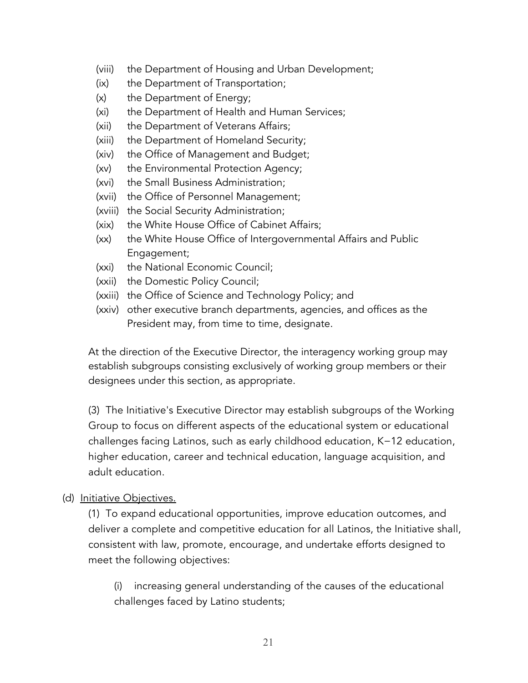- (viii) the Department of Housing and Urban Development;
- (ix) the Department of Transportation;
- (x) the Department of Energy;
- (xi) the Department of Health and Human Services;
- (xii) the Department of Veterans Affairs;
- (xiii) the Department of Homeland Security;
- (xiv) the Office of Management and Budget;
- (xv) the Environmental Protection Agency;
- (xvi) the Small Business Administration;
- (xvii) the Office of Personnel Management;
- (xviii) the Social Security Administration;
- (xix) the White House Office of Cabinet Affairs;
- (xx) the White House Office of Intergovernmental Affairs and Public Engagement;
- (xxi) the National Economic Council;
- (xxii) the Domestic Policy Council;
- (xxiii) the Office of Science and Technology Policy; and
- (xxiv) other executive branch departments, agencies, and offices as the President may, from time to time, designate.

At the direction of the Executive Director, the interagency working group may establish subgroups consisting exclusively of working group members or their designees under this section, as appropriate.

(3) The Initiative's Executive Director may establish subgroups of the Working Group to focus on different aspects of the educational system or educational challenges facing Latinos, such as early childhood education, K−12 education, higher education, career and technical education, language acquisition, and adult education.

# (d) Initiative Objectives.

(1) To expand educational opportunities, improve education outcomes, and deliver a complete and competitive education for all Latinos, the Initiative shall, consistent with law, promote, encourage, and undertake efforts designed to meet the following objectives:

(i) increasing general understanding of the causes of the educational challenges faced by Latino students;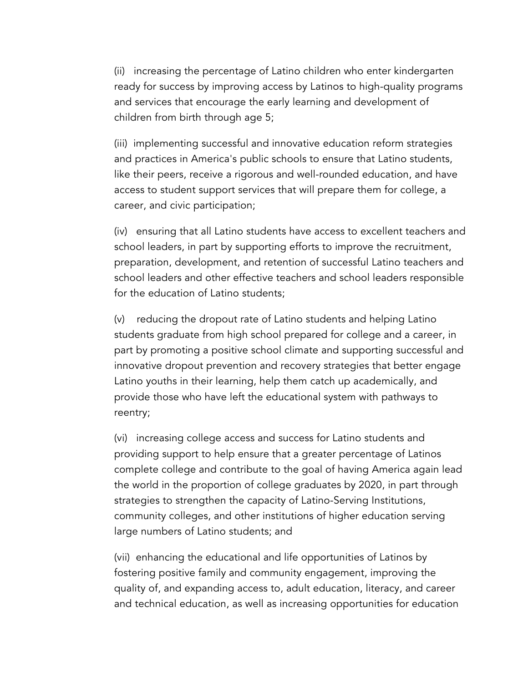(ii) increasing the percentage of Latino children who enter kindergarten ready for success by improving access by Latinos to high-quality programs and services that encourage the early learning and development of children from birth through age 5;

(iii) implementing successful and innovative education reform strategies and practices in America's public schools to ensure that Latino students, like their peers, receive a rigorous and well-rounded education, and have access to student support services that will prepare them for college, a career, and civic participation;

(iv) ensuring that all Latino students have access to excellent teachers and school leaders, in part by supporting efforts to improve the recruitment, preparation, development, and retention of successful Latino teachers and school leaders and other effective teachers and school leaders responsible for the education of Latino students;

(v) reducing the dropout rate of Latino students and helping Latino students graduate from high school prepared for college and a career, in part by promoting a positive school climate and supporting successful and innovative dropout prevention and recovery strategies that better engage Latino youths in their learning, help them catch up academically, and provide those who have left the educational system with pathways to reentry;

(vi) increasing college access and success for Latino students and providing support to help ensure that a greater percentage of Latinos complete college and contribute to the goal of having America again lead the world in the proportion of college graduates by 2020, in part through strategies to strengthen the capacity of Latino-Serving Institutions, community colleges, and other institutions of higher education serving large numbers of Latino students; and

(vii) enhancing the educational and life opportunities of Latinos by fostering positive family and community engagement, improving the quality of, and expanding access to, adult education, literacy, and career and technical education, as well as increasing opportunities for education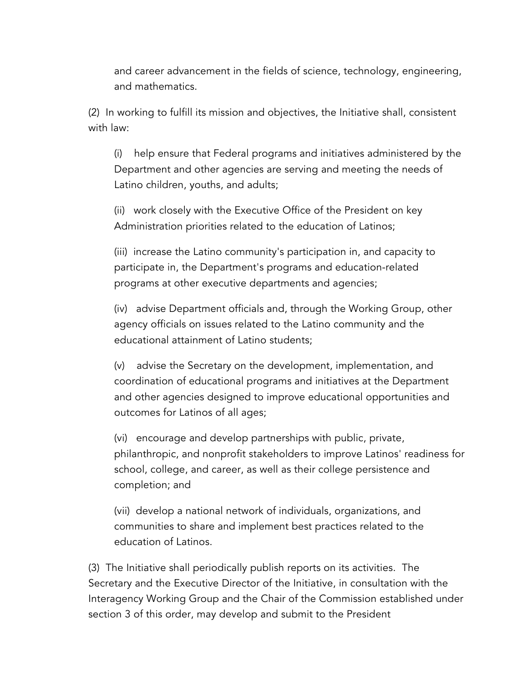and career advancement in the fields of science, technology, engineering, and mathematics.

(2) In working to fulfill its mission and objectives, the Initiative shall, consistent with law:

(i) help ensure that Federal programs and initiatives administered by the Department and other agencies are serving and meeting the needs of Latino children, youths, and adults;

(ii) work closely with the Executive Office of the President on key Administration priorities related to the education of Latinos;

(iii) increase the Latino community's participation in, and capacity to participate in, the Department's programs and education-related programs at other executive departments and agencies;

(iv) advise Department officials and, through the Working Group, other agency officials on issues related to the Latino community and the educational attainment of Latino students;

(v) advise the Secretary on the development, implementation, and coordination of educational programs and initiatives at the Department and other agencies designed to improve educational opportunities and outcomes for Latinos of all ages;

(vi) encourage and develop partnerships with public, private, philanthropic, and nonprofit stakeholders to improve Latinos' readiness for school, college, and career, as well as their college persistence and completion; and

(vii) develop a national network of individuals, organizations, and communities to share and implement best practices related to the education of Latinos.

(3) The Initiative shall periodically publish reports on its activities. The Secretary and the Executive Director of the Initiative, in consultation with the Interagency Working Group and the Chair of the Commission established under section 3 of this order, may develop and submit to the President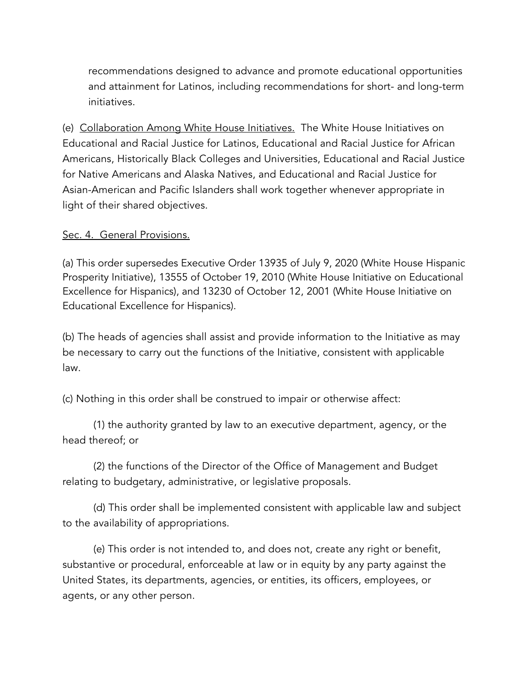recommendations designed to advance and promote educational opportunities and attainment for Latinos, including recommendations for short- and long-term initiatives.

(e) Collaboration Among White House Initiatives. The White House Initiatives on Educational and Racial Justice for Latinos, Educational and Racial Justice for African Americans, Historically Black Colleges and Universities, Educational and Racial Justice for Native Americans and Alaska Natives, and Educational and Racial Justice for Asian-American and Pacific Islanders shall work together whenever appropriate in light of their shared objectives.

### Sec. 4. General Provisions.

(a) This order supersedes Executive Order 13935 of July 9, 2020 (White House Hispanic Prosperity Initiative), 13555 of October 19, 2010 (White House Initiative on Educational Excellence for Hispanics), and 13230 of October 12, 2001 (White House Initiative on Educational Excellence for Hispanics).

(b) The heads of agencies shall assist and provide information to the Initiative as may be necessary to carry out the functions of the Initiative, consistent with applicable law.

(c) Nothing in this order shall be construed to impair or otherwise affect:

(1) the authority granted by law to an executive department, agency, or the head thereof; or

(2) the functions of the Director of the Office of Management and Budget relating to budgetary, administrative, or legislative proposals.

(d) This order shall be implemented consistent with applicable law and subject to the availability of appropriations.

(e) This order is not intended to, and does not, create any right or benefit, substantive or procedural, enforceable at law or in equity by any party against the United States, its departments, agencies, or entities, its officers, employees, or agents, or any other person.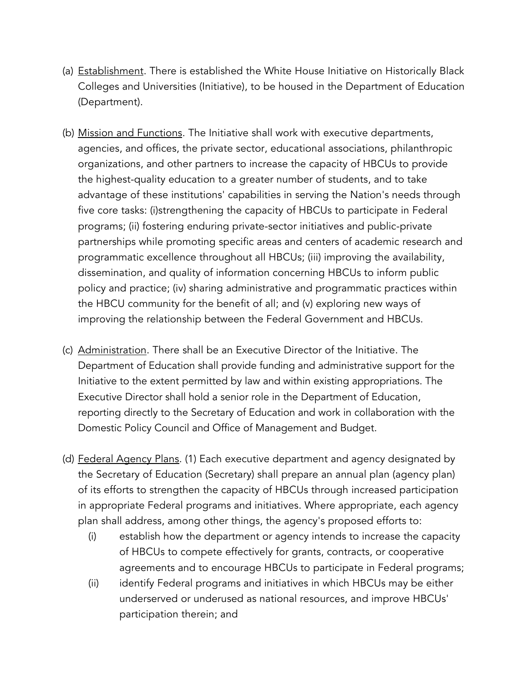- (a) Establishment. There is established the White House Initiative on Historically Black Colleges and Universities (Initiative), to be housed in the Department of Education (Department).
- (b) Mission and Functions. The Initiative shall work with executive departments, agencies, and offices, the private sector, educational associations, philanthropic organizations, and other partners to increase the capacity of HBCUs to provide the highest-quality education to a greater number of students, and to take advantage of these institutions' capabilities in serving the Nation's needs through five core tasks: (i)strengthening the capacity of HBCUs to participate in Federal programs; (ii) fostering enduring private-sector initiatives and public-private partnerships while promoting specific areas and centers of academic research and programmatic excellence throughout all HBCUs; (iii) improving the availability, dissemination, and quality of information concerning HBCUs to inform public policy and practice; (iv) sharing administrative and programmatic practices within the HBCU community for the benefit of all; and (v) exploring new ways of improving the relationship between the Federal Government and HBCUs.
- (c) Administration. There shall be an Executive Director of the Initiative. The Department of Education shall provide funding and administrative support for the Initiative to the extent permitted by law and within existing appropriations. The Executive Director shall hold a senior role in the Department of Education, reporting directly to the Secretary of Education and work in collaboration with the Domestic Policy Council and Office of Management and Budget.
- (d) Federal Agency Plans. (1) Each executive department and agency designated by the Secretary of Education (Secretary) shall prepare an annual plan (agency plan) of its efforts to strengthen the capacity of HBCUs through increased participation in appropriate Federal programs and initiatives. Where appropriate, each agency plan shall address, among other things, the agency's proposed efforts to:
	- (i) establish how the department or agency intends to increase the capacity of HBCUs to compete effectively for grants, contracts, or cooperative agreements and to encourage HBCUs to participate in Federal programs;
	- (ii) identify Federal programs and initiatives in which HBCUs may be either underserved or underused as national resources, and improve HBCUs' participation therein; and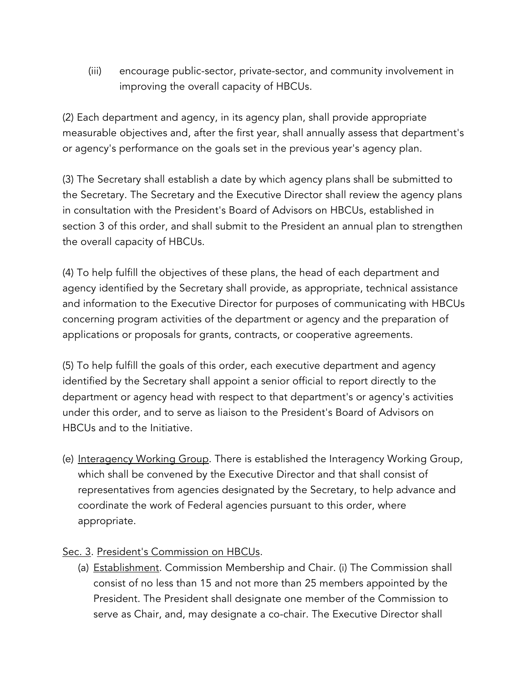(iii) encourage public-sector, private-sector, and community involvement in improving the overall capacity of HBCUs.

(2) Each department and agency, in its agency plan, shall provide appropriate measurable objectives and, after the first year, shall annually assess that department's or agency's performance on the goals set in the previous year's agency plan.

(3) The Secretary shall establish a date by which agency plans shall be submitted to the Secretary. The Secretary and the Executive Director shall review the agency plans in consultation with the President's Board of Advisors on HBCUs, established in section 3 of this order, and shall submit to the President an annual plan to strengthen the overall capacity of HBCUs.

(4) To help fulfill the objectives of these plans, the head of each department and agency identified by the Secretary shall provide, as appropriate, technical assistance and information to the Executive Director for purposes of communicating with HBCUs concerning program activities of the department or agency and the preparation of applications or proposals for grants, contracts, or cooperative agreements.

(5) To help fulfill the goals of this order, each executive department and agency identified by the Secretary shall appoint a senior official to report directly to the department or agency head with respect to that department's or agency's activities under this order, and to serve as liaison to the President's Board of Advisors on HBCUs and to the Initiative.

(e) Interagency Working Group. There is established the Interagency Working Group, which shall be convened by the Executive Director and that shall consist of representatives from agencies designated by the Secretary, to help advance and coordinate the work of Federal agencies pursuant to this order, where appropriate.

Sec. 3. President's Commission on HBCUs.

(a) **Establishment**. Commission Membership and Chair. (i) The Commission shall consist of no less than 15 and not more than 25 members appointed by the President. The President shall designate one member of the Commission to serve as Chair, and, may designate a co-chair. The Executive Director shall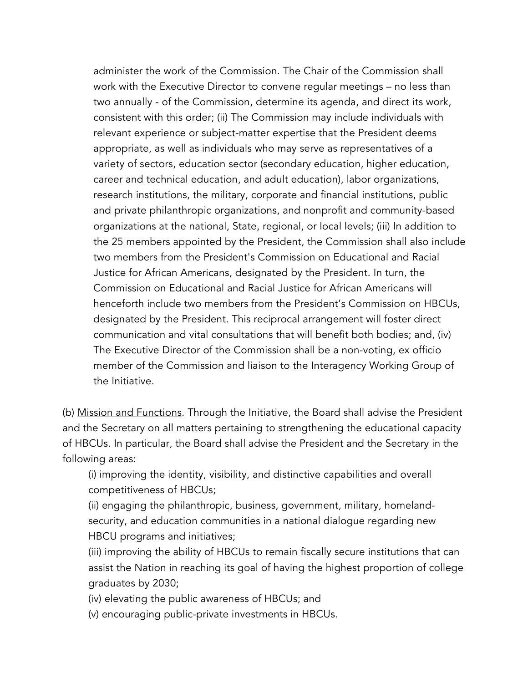administer the work of the Commission. The Chair of the Commission shall work with the Executive Director to convene regular meetings – no less than two annually - of the Commission, determine its agenda, and direct its work, consistent with this order; (ii) The Commission may include individuals with relevant experience or subject-matter expertise that the President deems appropriate, as well as individuals who may serve as representatives of a variety of sectors, education sector (secondary education, higher education, career and technical education, and adult education), labor organizations, research institutions, the military, corporate and financial institutions, public and private philanthropic organizations, and nonprofit and community-based organizations at the national, State, regional, or local levels; (iii) In addition to the 25 members appointed by the President, the Commission shall also include two members from the President's Commission on Educational and Racial Justice for African Americans, designated by the President. In turn, the Commission on Educational and Racial Justice for African Americans will henceforth include two members from the President's Commission on HBCUs, designated by the President. This reciprocal arrangement will foster direct communication and vital consultations that will benefit both bodies; and, (iv) The Executive Director of the Commission shall be a non-voting, ex officio member of the Commission and liaison to the Interagency Working Group of the Initiative.

(b) Mission and Functions. Through the Initiative, the Board shall advise the President and the Secretary on all matters pertaining to strengthening the educational capacity of HBCUs. In particular, the Board shall advise the President and the Secretary in the following areas:

(i) improving the identity, visibility, and distinctive capabilities and overall competitiveness of HBCUs;

(ii) engaging the philanthropic, business, government, military, homelandsecurity, and education communities in a national dialogue regarding new HBCU programs and initiatives;

(iii) improving the ability of HBCUs to remain fiscally secure institutions that can assist the Nation in reaching its goal of having the highest proportion of college graduates by 2030;

(iv) elevating the public awareness of HBCUs; and

(v) encouraging public-private investments in HBCUs.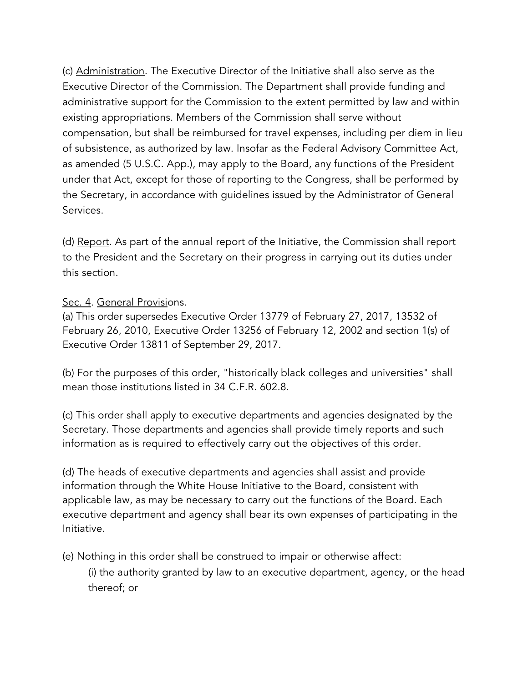(c) Administration. The Executive Director of the Initiative shall also serve as the Executive Director of the Commission. The Department shall provide funding and administrative support for the Commission to the extent permitted by law and within existing appropriations. Members of the Commission shall serve without compensation, but shall be reimbursed for travel expenses, including per diem in lieu of subsistence, as authorized by law. Insofar as the Federal Advisory Committee Act, as amended (5 U.S.C. App.), may apply to the Board, any functions of the President under that Act, except for those of reporting to the Congress, shall be performed by the Secretary, in accordance with guidelines issued by the Administrator of General Services.

(d) Report. As part of the annual report of the Initiative, the Commission shall report to the President and the Secretary on their progress in carrying out its duties under this section.

### Sec. 4. General Provisions.

(a) This order supersedes Executive Order 13779 of February 27, 2017, 13532 of February 26, 2010, Executive Order 13256 of February 12, 2002 and section 1(s) of Executive Order 13811 of September 29, 2017.

(b) For the purposes of this order, "historically black colleges and universities" shall mean those institutions listed in 34 C.F.R. 602.8.

(c) This order shall apply to executive departments and agencies designated by the Secretary. Those departments and agencies shall provide timely reports and such information as is required to effectively carry out the objectives of this order.

(d) The heads of executive departments and agencies shall assist and provide information through the White House Initiative to the Board, consistent with applicable law, as may be necessary to carry out the functions of the Board. Each executive department and agency shall bear its own expenses of participating in the Initiative.

(e) Nothing in this order shall be construed to impair or otherwise affect: (i) the authority granted by law to an executive department, agency, or the head thereof; or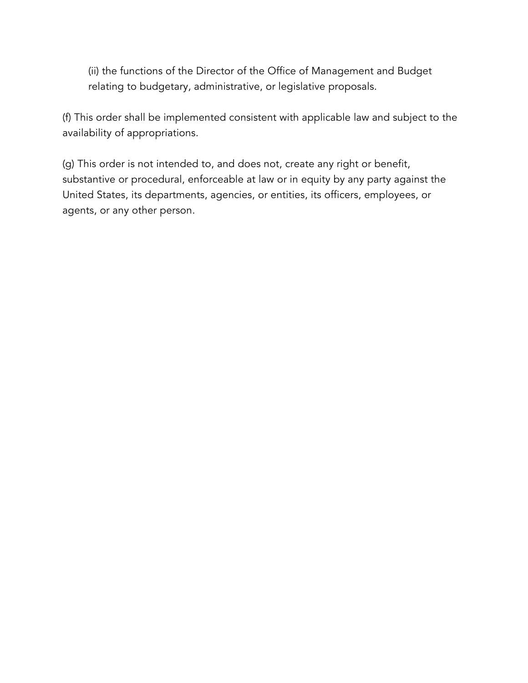(ii) the functions of the Director of the Office of Management and Budget relating to budgetary, administrative, or legislative proposals.

(f) This order shall be implemented consistent with applicable law and subject to the availability of appropriations.

(g) This order is not intended to, and does not, create any right or benefit, substantive or procedural, enforceable at law or in equity by any party against the United States, its departments, agencies, or entities, its officers, employees, or agents, or any other person.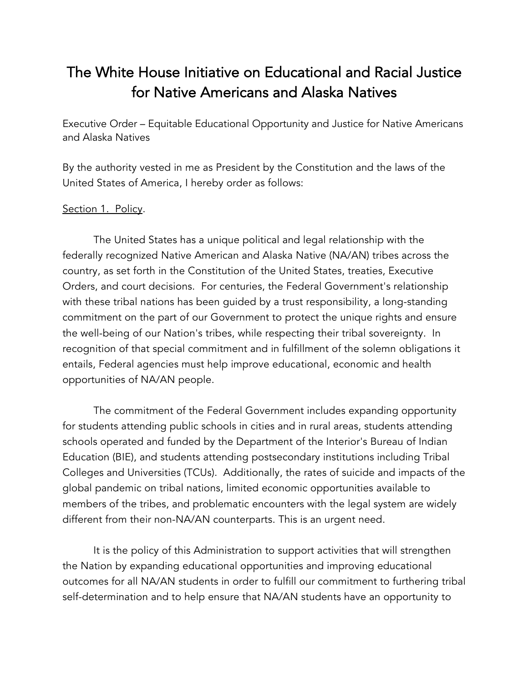# The White House Initiative on Educational and Racial Justice for Native Americans and Alaska Natives

Executive Order – Equitable Educational Opportunity and Justice for Native Americans and Alaska Natives

By the authority vested in me as President by the Constitution and the laws of the United States of America, I hereby order as follows:

## Section 1. Policy.

The United States has a unique political and legal relationship with the federally recognized Native American and Alaska Native (NA/AN) tribes across the country, as set forth in the Constitution of the United States, treaties, Executive Orders, and court decisions. For centuries, the Federal Government's relationship with these tribal nations has been guided by a trust responsibility, a long-standing commitment on the part of our Government to protect the unique rights and ensure the well-being of our Nation's tribes, while respecting their tribal sovereignty. In recognition of that special commitment and in fulfillment of the solemn obligations it entails, Federal agencies must help improve educational, economic and health opportunities of NA/AN people.

The commitment of the Federal Government includes expanding opportunity for students attending public schools in cities and in rural areas, students attending schools operated and funded by the Department of the Interior's Bureau of Indian Education (BIE), and students attending postsecondary institutions including Tribal Colleges and Universities (TCUs). Additionally, the rates of suicide and impacts of the global pandemic on tribal nations, limited economic opportunities available to members of the tribes, and problematic encounters with the legal system are widely different from their non-NA/AN counterparts. This is an urgent need.

It is the policy of this Administration to support activities that will strengthen the Nation by expanding educational opportunities and improving educational outcomes for all NA/AN students in order to fulfill our commitment to furthering tribal self-determination and to help ensure that NA/AN students have an opportunity to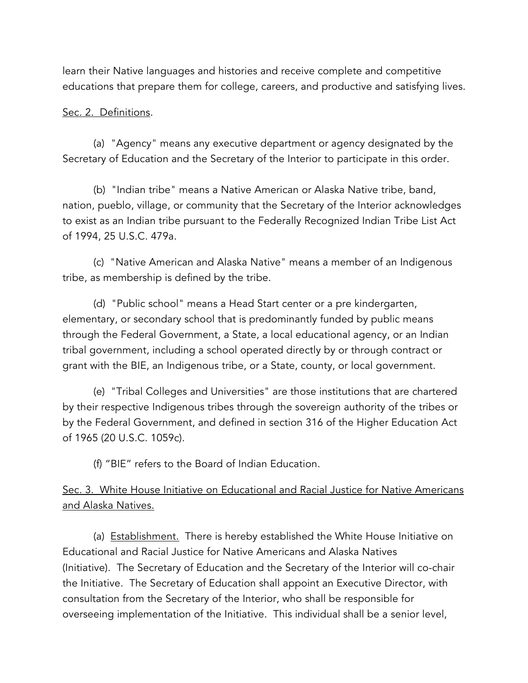learn their Native languages and histories and receive complete and competitive educations that prepare them for college, careers, and productive and satisfying lives.

### Sec. 2. Definitions.

(a) "Agency" means any executive department or agency designated by the Secretary of Education and the Secretary of the Interior to participate in this order.

(b) "Indian tribe" means a Native American or Alaska Native tribe, band, nation, pueblo, village, or community that the Secretary of the Interior acknowledges to exist as an Indian tribe pursuant to the Federally Recognized Indian Tribe List Act of 1994, 25 U.S.C. 479a.

(c) "Native American and Alaska Native" means a member of an Indigenous tribe, as membership is defined by the tribe.

(d) "Public school" means a Head Start center or a pre kindergarten, elementary, or secondary school that is predominantly funded by public means through the Federal Government, a State, a local educational agency, or an Indian tribal government, including a school operated directly by or through contract or grant with the BIE, an Indigenous tribe, or a State, county, or local government.

(e) "Tribal Colleges and Universities" are those institutions that are chartered by their respective Indigenous tribes through the sovereign authority of the tribes or by the Federal Government, and defined in section 316 of the Higher Education Act of 1965 (20 U.S.C. 1059c).

(f) "BIE" refers to the Board of Indian Education.

Sec. 3. White House Initiative on Educational and Racial Justice for Native Americans and Alaska Natives.

(a) Establishment. There is hereby established the White House Initiative on Educational and Racial Justice for Native Americans and Alaska Natives (Initiative). The Secretary of Education and the Secretary of the Interior will co-chair the Initiative. The Secretary of Education shall appoint an Executive Director, with consultation from the Secretary of the Interior, who shall be responsible for overseeing implementation of the Initiative. This individual shall be a senior level,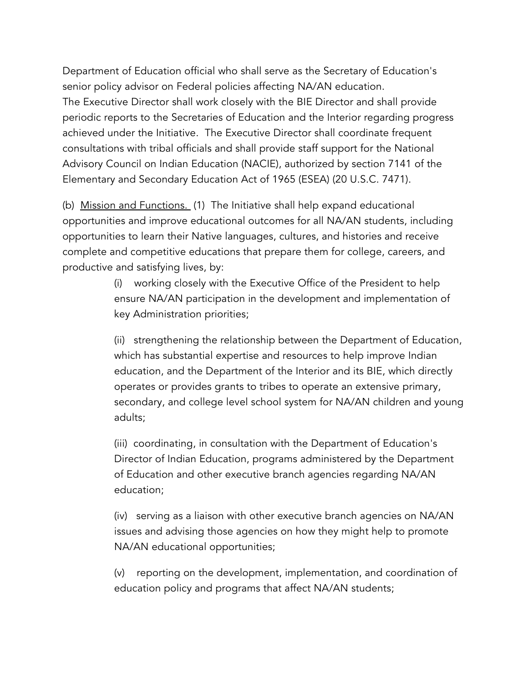Department of Education official who shall serve as the Secretary of Education's senior policy advisor on Federal policies affecting NA/AN education. The Executive Director shall work closely with the BIE Director and shall provide periodic reports to the Secretaries of Education and the Interior regarding progress achieved under the Initiative. The Executive Director shall coordinate frequent consultations with tribal officials and shall provide staff support for the National Advisory Council on Indian Education (NACIE), authorized by section 7141 of the Elementary and Secondary Education Act of 1965 (ESEA) (20 U.S.C. 7471).

(b) Mission and Functions. (1) The Initiative shall help expand educational opportunities and improve educational outcomes for all NA/AN students, including opportunities to learn their Native languages, cultures, and histories and receive complete and competitive educations that prepare them for college, careers, and productive and satisfying lives, by:

> (i) working closely with the Executive Office of the President to help ensure NA/AN participation in the development and implementation of key Administration priorities;

(ii) strengthening the relationship between the Department of Education, which has substantial expertise and resources to help improve Indian education, and the Department of the Interior and its BIE, which directly operates or provides grants to tribes to operate an extensive primary, secondary, and college level school system for NA/AN children and young adults;

(iii) coordinating, in consultation with the Department of Education's Director of Indian Education, programs administered by the Department of Education and other executive branch agencies regarding NA/AN education;

(iv) serving as a liaison with other executive branch agencies on NA/AN issues and advising those agencies on how they might help to promote NA/AN educational opportunities;

(v) reporting on the development, implementation, and coordination of education policy and programs that affect NA/AN students;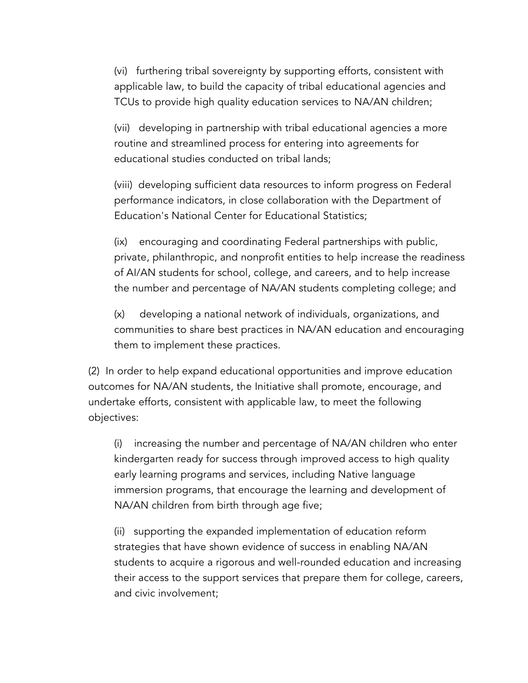(vi) furthering tribal sovereignty by supporting efforts, consistent with applicable law, to build the capacity of tribal educational agencies and TCUs to provide high quality education services to NA/AN children;

(vii) developing in partnership with tribal educational agencies a more routine and streamlined process for entering into agreements for educational studies conducted on tribal lands;

(viii) developing sufficient data resources to inform progress on Federal performance indicators, in close collaboration with the Department of Education's National Center for Educational Statistics;

(ix) encouraging and coordinating Federal partnerships with public, private, philanthropic, and nonprofit entities to help increase the readiness of AI/AN students for school, college, and careers, and to help increase the number and percentage of NA/AN students completing college; and

(x) developing a national network of individuals, organizations, and communities to share best practices in NA/AN education and encouraging them to implement these practices.

(2) In order to help expand educational opportunities and improve education outcomes for NA/AN students, the Initiative shall promote, encourage, and undertake efforts, consistent with applicable law, to meet the following objectives:

(i) increasing the number and percentage of NA/AN children who enter kindergarten ready for success through improved access to high quality early learning programs and services, including Native language immersion programs, that encourage the learning and development of NA/AN children from birth through age five;

(ii) supporting the expanded implementation of education reform strategies that have shown evidence of success in enabling NA/AN students to acquire a rigorous and well-rounded education and increasing their access to the support services that prepare them for college, careers, and civic involvement;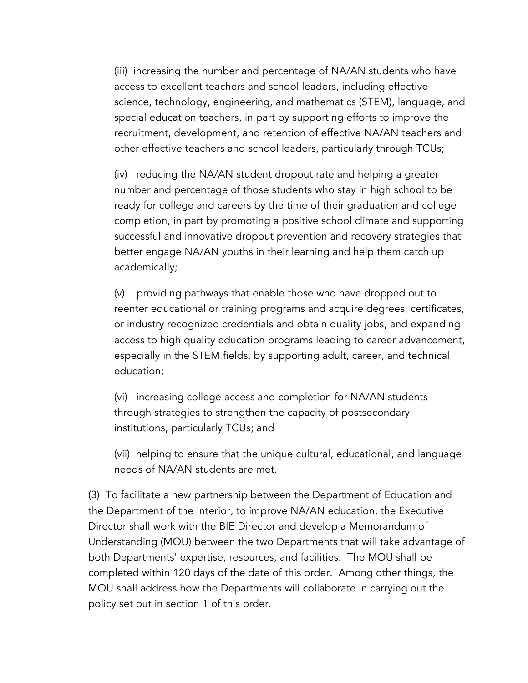(iii) increasing the number and percentage of NA/AN students who have access to excellent teachers and school leaders, including effective science, technology, engineering, and mathematics (STEM), language, and special education teachers, in part by supporting efforts to improve the recruitment, development, and retention of effective NA/AN teachers and other effective teachers and school leaders, particularly through TCUs;

(iv) reducing the NA/AN student dropout rate and helping a greater number and percentage of those students who stay in high school to be ready for college and careers by the time of their graduation and college completion, in part by promoting a positive school climate and supporting successful and innovative dropout prevention and recovery strategies that better engage NA/AN youths in their learning and help them catch up academically;

(v) providing pathways that enable those who have dropped out to reenter educational or training programs and acquire degrees, certificates, or industry recognized credentials and obtain quality jobs, and expanding access to high quality education programs leading to career advancement, especially in the STEM fields, by supporting adult, career, and technical education;

(vi) increasing college access and completion for NA/AN students through strategies to strengthen the capacity of postsecondary institutions, particularly TCUs; and

(vii) helping to ensure that the unique cultural, educational, and language needs of NA/AN students are met.

(3) To facilitate a new partnership between the Department of Education and the Department of the Interior, to improve NA/AN education, the Executive Director shall work with the BIE Director and develop a Memorandum of Understanding (MOU) between the two Departments that will take advantage of both Departments' expertise, resources, and facilities. The MOU shall be completed within 120 days of the date of this order. Among other things, the MOU shall address how the Departments will collaborate in carrying out the policy set out in section 1 of this order.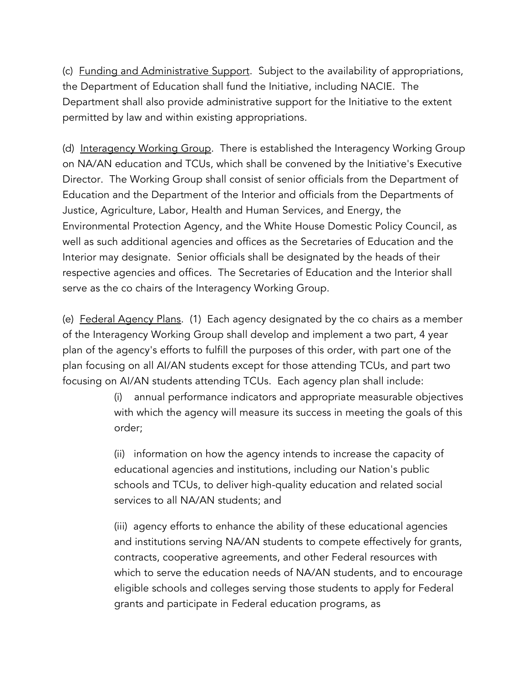(c) Funding and Administrative Support. Subject to the availability of appropriations, the Department of Education shall fund the Initiative, including NACIE. The Department shall also provide administrative support for the Initiative to the extent permitted by law and within existing appropriations.

(d) Interagency Working Group. There is established the Interagency Working Group on NA/AN education and TCUs, which shall be convened by the Initiative's Executive Director. The Working Group shall consist of senior officials from the Department of Education and the Department of the Interior and officials from the Departments of Justice, Agriculture, Labor, Health and Human Services, and Energy, the Environmental Protection Agency, and the White House Domestic Policy Council, as well as such additional agencies and offices as the Secretaries of Education and the Interior may designate. Senior officials shall be designated by the heads of their respective agencies and offices. The Secretaries of Education and the Interior shall serve as the co chairs of the Interagency Working Group.

(e) Federal Agency Plans. (1) Each agency designated by the co chairs as a member of the Interagency Working Group shall develop and implement a two part, 4 year plan of the agency's efforts to fulfill the purposes of this order, with part one of the plan focusing on all AI/AN students except for those attending TCUs, and part two focusing on AI/AN students attending TCUs. Each agency plan shall include:

> (i) annual performance indicators and appropriate measurable objectives with which the agency will measure its success in meeting the goals of this order;

(ii) information on how the agency intends to increase the capacity of educational agencies and institutions, including our Nation's public schools and TCUs, to deliver high-quality education and related social services to all NA/AN students; and

(iii) agency efforts to enhance the ability of these educational agencies and institutions serving NA/AN students to compete effectively for grants, contracts, cooperative agreements, and other Federal resources with which to serve the education needs of NA/AN students, and to encourage eligible schools and colleges serving those students to apply for Federal grants and participate in Federal education programs, as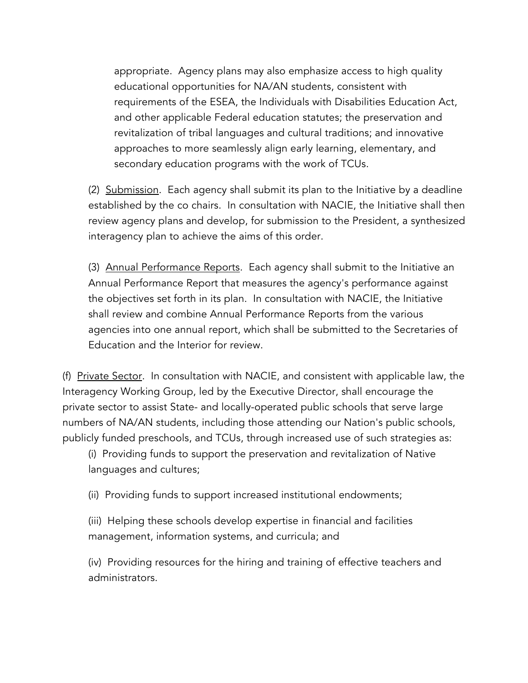appropriate. Agency plans may also emphasize access to high quality educational opportunities for NA/AN students, consistent with requirements of the ESEA, the Individuals with Disabilities Education Act, and other applicable Federal education statutes; the preservation and revitalization of tribal languages and cultural traditions; and innovative approaches to more seamlessly align early learning, elementary, and secondary education programs with the work of TCUs.

(2) Submission. Each agency shall submit its plan to the Initiative by a deadline established by the co chairs. In consultation with NACIE, the Initiative shall then review agency plans and develop, for submission to the President, a synthesized interagency plan to achieve the aims of this order.

(3) Annual Performance Reports. Each agency shall submit to the Initiative an Annual Performance Report that measures the agency's performance against the objectives set forth in its plan. In consultation with NACIE, the Initiative shall review and combine Annual Performance Reports from the various agencies into one annual report, which shall be submitted to the Secretaries of Education and the Interior for review.

(f) Private Sector. In consultation with NACIE, and consistent with applicable law, the Interagency Working Group, led by the Executive Director, shall encourage the private sector to assist State- and locally-operated public schools that serve large numbers of NA/AN students, including those attending our Nation's public schools, publicly funded preschools, and TCUs, through increased use of such strategies as:

(i) Providing funds to support the preservation and revitalization of Native languages and cultures;

(ii) Providing funds to support increased institutional endowments;

(iii) Helping these schools develop expertise in financial and facilities management, information systems, and curricula; and

(iv) Providing resources for the hiring and training of effective teachers and administrators.